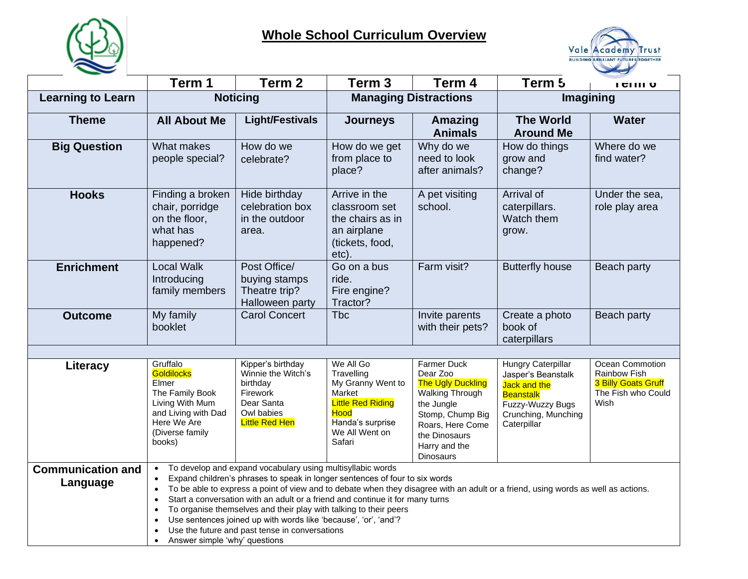

## **Whole School Curriculum Overview**



|                                      | Term 1                                                                                                                                          | Term <sub>2</sub>                                                                                                                                                                                                                                                                                                                                                                                                    | Term <sub>3</sub>                                                                                                                          | Term 4                                                                                                                                                                             | Term 5                                                                                                                                        | <b>ICHII</b>                                                                                |
|--------------------------------------|-------------------------------------------------------------------------------------------------------------------------------------------------|----------------------------------------------------------------------------------------------------------------------------------------------------------------------------------------------------------------------------------------------------------------------------------------------------------------------------------------------------------------------------------------------------------------------|--------------------------------------------------------------------------------------------------------------------------------------------|------------------------------------------------------------------------------------------------------------------------------------------------------------------------------------|-----------------------------------------------------------------------------------------------------------------------------------------------|---------------------------------------------------------------------------------------------|
| <b>Learning to Learn</b>             |                                                                                                                                                 | <b>Noticing</b>                                                                                                                                                                                                                                                                                                                                                                                                      |                                                                                                                                            | <b>Managing Distractions</b>                                                                                                                                                       |                                                                                                                                               | Imagining                                                                                   |
| <b>Theme</b>                         | <b>All About Me</b>                                                                                                                             | <b>Light/Festivals</b>                                                                                                                                                                                                                                                                                                                                                                                               | <b>Journeys</b>                                                                                                                            | <b>Amazing</b><br><b>Animals</b>                                                                                                                                                   | <b>The World</b><br><b>Around Me</b>                                                                                                          | <b>Water</b>                                                                                |
| <b>Big Question</b>                  | What makes<br>people special?                                                                                                                   | How do we<br>celebrate?                                                                                                                                                                                                                                                                                                                                                                                              | How do we get<br>from place to<br>place?                                                                                                   | Why do we<br>need to look<br>after animals?                                                                                                                                        | How do things<br>grow and<br>change?                                                                                                          | Where do we<br>find water?                                                                  |
| <b>Hooks</b>                         | Finding a broken<br>chair, porridge<br>on the floor,<br>what has<br>happened?                                                                   | Hide birthday<br>celebration box<br>in the outdoor<br>area.                                                                                                                                                                                                                                                                                                                                                          | Arrive in the<br>classroom set<br>the chairs as in<br>an airplane<br>(tickets, food,<br>etc).                                              | A pet visiting<br>school.                                                                                                                                                          | Arrival of<br>caterpillars.<br>Watch them<br>grow.                                                                                            | Under the sea,<br>role play area                                                            |
| <b>Enrichment</b>                    | <b>Local Walk</b><br>Introducing<br>family members                                                                                              | Post Office/<br>buying stamps<br>Theatre trip?<br>Halloween party                                                                                                                                                                                                                                                                                                                                                    | Go on a bus<br>ride.<br>Fire engine?<br>Tractor?                                                                                           | Farm visit?                                                                                                                                                                        | <b>Butterfly house</b>                                                                                                                        | Beach party                                                                                 |
| <b>Outcome</b>                       | My family<br>booklet                                                                                                                            | <b>Carol Concert</b>                                                                                                                                                                                                                                                                                                                                                                                                 | <b>Tbc</b>                                                                                                                                 | Invite parents<br>with their pets?                                                                                                                                                 | Create a photo<br>book of<br>caterpillars                                                                                                     | Beach party                                                                                 |
|                                      |                                                                                                                                                 |                                                                                                                                                                                                                                                                                                                                                                                                                      |                                                                                                                                            |                                                                                                                                                                                    |                                                                                                                                               |                                                                                             |
| Literacy                             | Gruffalo<br><b>Goldilocks</b><br>Elmer<br>The Family Book<br>Living With Mum<br>and Living with Dad<br>Here We Are<br>(Diverse family<br>books) | Kipper's birthday<br>Winnie the Witch's<br>birthday<br>Firework<br>Dear Santa<br>Owl babies<br><b>Little Red Hen</b>                                                                                                                                                                                                                                                                                                 | We All Go<br>Travelling<br>My Granny Went to<br>Market<br><b>Little Red Riding</b><br>Hood<br>Handa's surprise<br>We All Went on<br>Safari | Farmer Duck<br>Dear Zoo<br><b>The Ugly Duckling</b><br>Walking Through<br>the Jungle<br>Stomp, Chump Big<br>Roars, Here Come<br>the Dinosaurs<br>Harry and the<br><b>Dinosaurs</b> | <b>Hungry Caterpillar</b><br>Jasper's Beanstalk<br>Jack and the<br><b>Beanstalk</b><br>Fuzzy-Wuzzy Bugs<br>Crunching, Munching<br>Caterpillar | Ocean Commotion<br>Rainbow Fish<br><b>3 Billy Goats Gruff</b><br>The Fish who Could<br>Wish |
| <b>Communication and</b><br>Language | $\bullet$<br>$\bullet$<br>$\bullet$<br>$\bullet$<br>$\bullet$<br>$\bullet$<br>Answer simple 'why' questions<br>$\bullet$                        | To develop and expand vocabulary using multisyllabic words<br>Expand children's phrases to speak in longer sentences of four to six words<br>Start a conversation with an adult or a friend and continue it for many turns<br>To organise themselves and their play with talking to their peers<br>Use sentences joined up with words like 'because', 'or', 'and'?<br>Use the future and past tense in conversations |                                                                                                                                            |                                                                                                                                                                                    | To be able to express a point of view and to debate when they disagree with an adult or a friend, using words as well as actions.             |                                                                                             |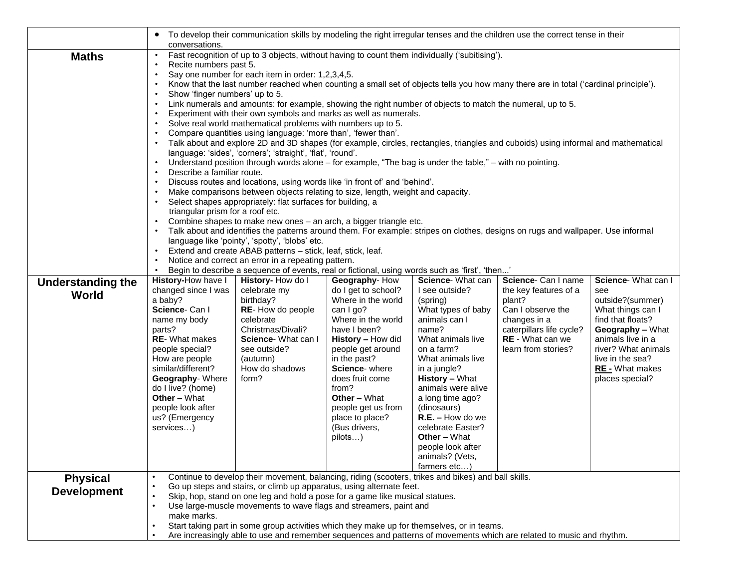|                                       | $\bullet$<br>conversations.                                                                                                                                                                                                                                                                                                                                                                   | To develop their communication skills by modeling the right irregular tenses and the children use the correct tense in their                                                                                                                                                                                                                                                                                                                                                                                                                                                                                                                                                                                                                                                                                                                                                                                                                                                                                                                                                                                                                                                                                                                                                                                                                                                                                        |                                                                                                                                                                                                                                                                                                                                                                     |                                                                                                                                                                    |                                                                                                                                                                                                                           |
|---------------------------------------|-----------------------------------------------------------------------------------------------------------------------------------------------------------------------------------------------------------------------------------------------------------------------------------------------------------------------------------------------------------------------------------------------|---------------------------------------------------------------------------------------------------------------------------------------------------------------------------------------------------------------------------------------------------------------------------------------------------------------------------------------------------------------------------------------------------------------------------------------------------------------------------------------------------------------------------------------------------------------------------------------------------------------------------------------------------------------------------------------------------------------------------------------------------------------------------------------------------------------------------------------------------------------------------------------------------------------------------------------------------------------------------------------------------------------------------------------------------------------------------------------------------------------------------------------------------------------------------------------------------------------------------------------------------------------------------------------------------------------------------------------------------------------------------------------------------------------------|---------------------------------------------------------------------------------------------------------------------------------------------------------------------------------------------------------------------------------------------------------------------------------------------------------------------------------------------------------------------|--------------------------------------------------------------------------------------------------------------------------------------------------------------------|---------------------------------------------------------------------------------------------------------------------------------------------------------------------------------------------------------------------------|
| <b>Maths</b>                          | Recite numbers past 5.<br>$\bullet$<br>Say one number for each item in order: 1,2,3,4,5.<br>$\bullet$<br>Show 'finger numbers' up to 5.<br>$\bullet$<br>language: 'sides', 'corners'; 'straight', 'flat', 'round'.<br>Describe a familiar route.<br>triangular prism for a roof etc.<br>language like 'pointy', 'spotty', 'blobs' etc.<br>Notice and correct an error in a repeating pattern. | Fast recognition of up to 3 objects, without having to count them individually ('subitising').<br>Know that the last number reached when counting a small set of objects tells you how many there are in total ('cardinal principle').<br>Link numerals and amounts: for example, showing the right number of objects to match the numeral, up to 5.<br>Experiment with their own symbols and marks as well as numerals.<br>Solve real world mathematical problems with numbers up to 5.<br>Compare quantities using language: 'more than', 'fewer than'.<br>Talk about and explore 2D and 3D shapes (for example, circles, rectangles, triangles and cuboids) using informal and mathematical<br>Understand position through words alone – for example, "The bag is under the table," – with no pointing.<br>Discuss routes and locations, using words like 'in front of' and 'behind'.<br>Make comparisons between objects relating to size, length, weight and capacity.<br>Select shapes appropriately: flat surfaces for building, a<br>Combine shapes to make new ones - an arch, a bigger triangle etc.<br>Talk about and identifies the patterns around them. For example: stripes on clothes, designs on rugs and wallpaper. Use informal<br>Extend and create ABAB patterns - stick, leaf, stick, leaf.<br>Begin to describe a sequence of events, real or fictional, using words such as 'first', 'then' |                                                                                                                                                                                                                                                                                                                                                                     |                                                                                                                                                                    |                                                                                                                                                                                                                           |
| <b>Understanding the</b><br>World     | History-How have I<br>changed since I was<br>celebrate my<br>a baby?<br>birthday?<br>Science-Can I<br>name my body<br>celebrate<br>parts?<br><b>RE-</b> What makes<br>people special?<br>How are people<br>(autumn)<br>similar/different?<br>form?<br>Geography-Where<br>do I live? (home)<br><b>Other - What</b><br>people look after<br>us? (Emergency<br>services)                         | History-How do I<br>Geography-How<br>do I get to school?<br>Where in the world<br>RE-How do people<br>can I go?<br>Where in the world<br>Christmas/Divali?<br>have I been?<br>Science- What can I<br>History - How did<br>see outside?<br>people get around<br>in the past?<br>How do shadows<br>Science- where<br>does fruit come<br>from?<br><b>Other - What</b><br>people get us from<br>place to place?<br>(Bus drivers,<br>pilots)                                                                                                                                                                                                                                                                                                                                                                                                                                                                                                                                                                                                                                                                                                                                                                                                                                                                                                                                                                             | Science- What can<br>I see outside?<br>(spring)<br>What types of baby<br>animals can I<br>name?<br>What animals live<br>on a farm?<br>What animals live<br>in a jungle?<br><b>History - What</b><br>animals were alive<br>a long time ago?<br>(dinosaurs)<br>$R.E. - How do we$<br>celebrate Easter?<br><b>Other - What</b><br>people look after<br>animals? (Vets, | Science- Can I name<br>the key features of a<br>plant?<br>Can I observe the<br>changes in a<br>caterpillars life cycle?<br>RE - What can we<br>learn from stories? | Science- What can I<br>see<br>outside?(summer)<br>What things can I<br>find that floats?<br>Geography - What<br>animals live in a<br>river? What animals<br>live in the sea?<br><b>RE</b> - What makes<br>places special? |
| <b>Physical</b><br><b>Development</b> | $\bullet$<br>$\bullet$<br>$\bullet$<br>$\bullet$<br>make marks.                                                                                                                                                                                                                                                                                                                               | Continue to develop their movement, balancing, riding (scooters, trikes and bikes) and ball skills.<br>Go up steps and stairs, or climb up apparatus, using alternate feet.<br>Skip, hop, stand on one leg and hold a pose for a game like musical statues.<br>Use large-muscle movements to wave flags and streamers, paint and<br>Start taking part in some group activities which they make up for themselves, or in teams.<br>Are increasingly able to use and remember sequences and patterns of movements which are related to music and rhythm.                                                                                                                                                                                                                                                                                                                                                                                                                                                                                                                                                                                                                                                                                                                                                                                                                                                              | farmers etc)                                                                                                                                                                                                                                                                                                                                                        |                                                                                                                                                                    |                                                                                                                                                                                                                           |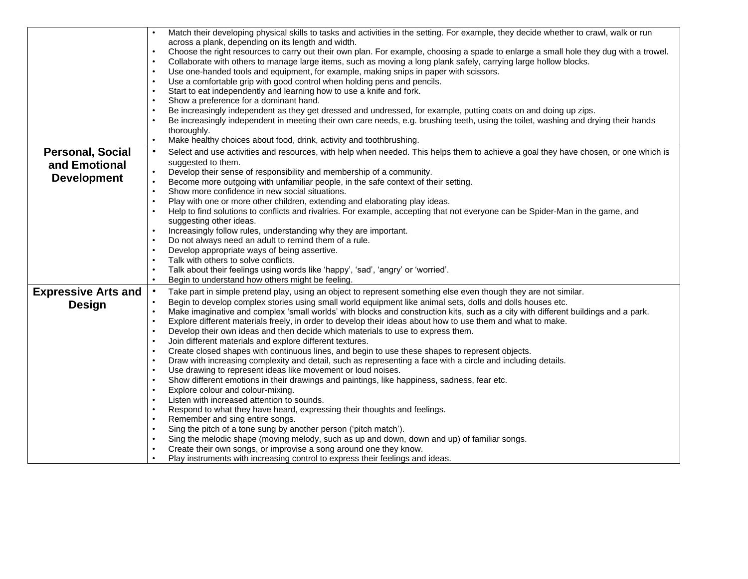|                            | Match their developing physical skills to tasks and activities in the setting. For example, they decide whether to crawl, walk or run                                                     |
|----------------------------|-------------------------------------------------------------------------------------------------------------------------------------------------------------------------------------------|
|                            | across a plank, depending on its length and width.                                                                                                                                        |
|                            | Choose the right resources to carry out their own plan. For example, choosing a spade to enlarge a small hole they dug with a trowel.                                                     |
|                            | Collaborate with others to manage large items, such as moving a long plank safely, carrying large hollow blocks.                                                                          |
|                            | Use one-handed tools and equipment, for example, making snips in paper with scissors.<br>$\bullet$                                                                                        |
|                            | Use a comfortable grip with good control when holding pens and pencils.                                                                                                                   |
|                            | Start to eat independently and learning how to use a knife and fork.                                                                                                                      |
|                            | Show a preference for a dominant hand.<br>$\bullet$                                                                                                                                       |
|                            | Be increasingly independent as they get dressed and undressed, for example, putting coats on and doing up zips.<br>$\bullet$                                                              |
|                            | Be increasingly independent in meeting their own care needs, e.g. brushing teeth, using the toilet, washing and drying their hands                                                        |
|                            | thoroughly.                                                                                                                                                                               |
|                            | Make healthy choices about food, drink, activity and toothbrushing.<br>$\bullet$                                                                                                          |
| <b>Personal, Social</b>    | Select and use activities and resources, with help when needed. This helps them to achieve a goal they have chosen, or one which is<br>$\bullet$                                          |
| and Emotional              | suggested to them.                                                                                                                                                                        |
| <b>Development</b>         | Develop their sense of responsibility and membership of a community.<br>$\bullet$                                                                                                         |
|                            | $\bullet$<br>Become more outgoing with unfamiliar people, in the safe context of their setting.                                                                                           |
|                            | Show more confidence in new social situations.<br>$\bullet$                                                                                                                               |
|                            | Play with one or more other children, extending and elaborating play ideas.                                                                                                               |
|                            | Help to find solutions to conflicts and rivalries. For example, accepting that not everyone can be Spider-Man in the game, and                                                            |
|                            | suggesting other ideas.                                                                                                                                                                   |
|                            | Increasingly follow rules, understanding why they are important.                                                                                                                          |
|                            | Do not always need an adult to remind them of a rule.                                                                                                                                     |
|                            | Develop appropriate ways of being assertive.<br>$\bullet$                                                                                                                                 |
|                            | Talk with others to solve conflicts.                                                                                                                                                      |
|                            | Talk about their feelings using words like 'happy', 'sad', 'angry' or 'worried'.                                                                                                          |
|                            | Begin to understand how others might be feeling.<br>$\bullet$                                                                                                                             |
| <b>Expressive Arts and</b> | Take part in simple pretend play, using an object to represent something else even though they are not similar.<br>$\bullet$                                                              |
| <b>Design</b>              | Begin to develop complex stories using small world equipment like animal sets, dolls and dolls houses etc.                                                                                |
|                            | Make imaginative and complex 'small worlds' with blocks and construction kits, such as a city with different buildings and a park.                                                        |
|                            | Explore different materials freely, in order to develop their ideas about how to use them and what to make.<br>$\bullet$                                                                  |
|                            | Develop their own ideas and then decide which materials to use to express them.                                                                                                           |
|                            | Join different materials and explore different textures.                                                                                                                                  |
|                            | Create closed shapes with continuous lines, and begin to use these shapes to represent objects.<br>$\bullet$                                                                              |
|                            | Draw with increasing complexity and detail, such as representing a face with a circle and including details.<br>$\bullet$<br>Use drawing to represent ideas like movement or loud noises. |
|                            | Show different emotions in their drawings and paintings, like happiness, sadness, fear etc.                                                                                               |
|                            | Explore colour and colour-mixing.<br>$\bullet$                                                                                                                                            |
|                            | Listen with increased attention to sounds.                                                                                                                                                |
|                            | Respond to what they have heard, expressing their thoughts and feelings.                                                                                                                  |
|                            | Remember and sing entire songs.<br>$\bullet$                                                                                                                                              |
|                            | Sing the pitch of a tone sung by another person ('pitch match').                                                                                                                          |
|                            | Sing the melodic shape (moving melody, such as up and down, down and up) of familiar songs.                                                                                               |
|                            | Create their own songs, or improvise a song around one they know.                                                                                                                         |
|                            | Play instruments with increasing control to express their feelings and ideas.                                                                                                             |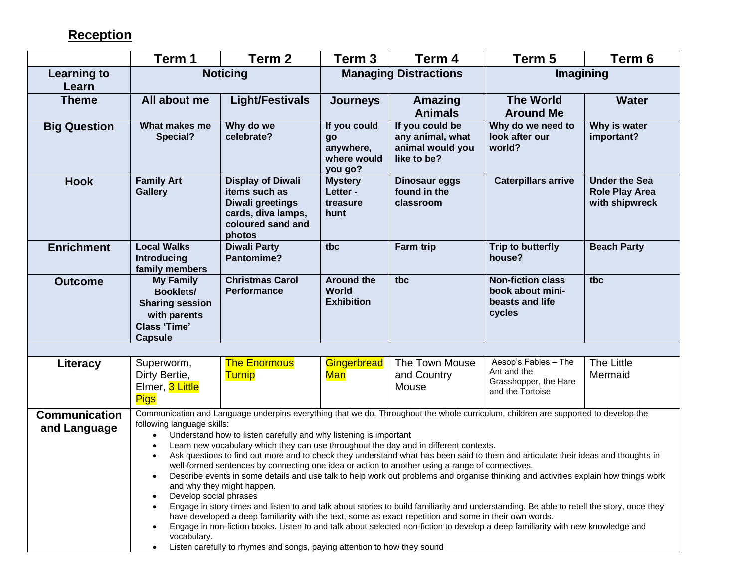## **Reception**

|                                      | Term 1                                                                                                                  | Term 2                                                                                                                                                                                                                                                                                                                                                                                                                                                                            | Term 3                                                    | Term 4                                                                 | Term 5                                                                                                                                                                                                                                                                                                                                                                                                                                                                                                                                                                                                                                                                                         | Term 6                                                          |
|--------------------------------------|-------------------------------------------------------------------------------------------------------------------------|-----------------------------------------------------------------------------------------------------------------------------------------------------------------------------------------------------------------------------------------------------------------------------------------------------------------------------------------------------------------------------------------------------------------------------------------------------------------------------------|-----------------------------------------------------------|------------------------------------------------------------------------|------------------------------------------------------------------------------------------------------------------------------------------------------------------------------------------------------------------------------------------------------------------------------------------------------------------------------------------------------------------------------------------------------------------------------------------------------------------------------------------------------------------------------------------------------------------------------------------------------------------------------------------------------------------------------------------------|-----------------------------------------------------------------|
| <b>Learning to</b><br>Learn          |                                                                                                                         | <b>Noticing</b>                                                                                                                                                                                                                                                                                                                                                                                                                                                                   |                                                           | <b>Managing Distractions</b>                                           | Imagining                                                                                                                                                                                                                                                                                                                                                                                                                                                                                                                                                                                                                                                                                      |                                                                 |
| <b>Theme</b>                         | All about me                                                                                                            | <b>Light/Festivals</b>                                                                                                                                                                                                                                                                                                                                                                                                                                                            | <b>Journeys</b>                                           | Amazing<br><b>Animals</b>                                              | <b>The World</b><br><b>Around Me</b>                                                                                                                                                                                                                                                                                                                                                                                                                                                                                                                                                                                                                                                           | <b>Water</b>                                                    |
| <b>Big Question</b>                  | What makes me<br>Special?                                                                                               | Why do we<br>celebrate?                                                                                                                                                                                                                                                                                                                                                                                                                                                           | If you could<br>go<br>anywhere,<br>where would<br>you go? | If you could be<br>any animal, what<br>animal would you<br>like to be? | Why do we need to<br>look after our<br>world?                                                                                                                                                                                                                                                                                                                                                                                                                                                                                                                                                                                                                                                  | Why is water<br>important?                                      |
| <b>Hook</b>                          | <b>Family Art</b><br><b>Gallery</b>                                                                                     | <b>Display of Diwali</b><br>items such as<br>Diwali greetings<br>cards, diva lamps,<br>coloured sand and<br>photos                                                                                                                                                                                                                                                                                                                                                                | <b>Mystery</b><br>Letter -<br>treasure<br>hunt            | Dinosaur eggs<br>found in the<br>classroom                             | <b>Caterpillars arrive</b>                                                                                                                                                                                                                                                                                                                                                                                                                                                                                                                                                                                                                                                                     | <b>Under the Sea</b><br><b>Role Play Area</b><br>with shipwreck |
| <b>Enrichment</b>                    | <b>Local Walks</b><br><b>Introducing</b><br>family members                                                              | <b>Diwali Party</b><br>Pantomime?                                                                                                                                                                                                                                                                                                                                                                                                                                                 | tbc                                                       | Farm trip                                                              | Trip to butterfly<br>house?                                                                                                                                                                                                                                                                                                                                                                                                                                                                                                                                                                                                                                                                    | <b>Beach Party</b>                                              |
| <b>Outcome</b>                       | <b>My Family</b><br><b>Booklets/</b><br><b>Sharing session</b><br>with parents<br><b>Class 'Time'</b><br><b>Capsule</b> | <b>Christmas Carol</b><br><b>Performance</b>                                                                                                                                                                                                                                                                                                                                                                                                                                      | <b>Around the</b><br><b>World</b><br><b>Exhibition</b>    | tbc                                                                    | <b>Non-fiction class</b><br>book about mini-<br>beasts and life<br>cycles                                                                                                                                                                                                                                                                                                                                                                                                                                                                                                                                                                                                                      | tbc                                                             |
|                                      |                                                                                                                         |                                                                                                                                                                                                                                                                                                                                                                                                                                                                                   |                                                           |                                                                        |                                                                                                                                                                                                                                                                                                                                                                                                                                                                                                                                                                                                                                                                                                |                                                                 |
| Literacy                             | Superworm,<br>Dirty Bertie,<br>Elmer, 3 Little<br><b>Pigs</b>                                                           | <b>The Enormous</b><br><b>Turnip</b>                                                                                                                                                                                                                                                                                                                                                                                                                                              | Gingerbread<br><u>Man</u>                                 | The Town Mouse<br>and Country<br>Mouse                                 | Aesop's Fables - The<br>Ant and the<br>Grasshopper, the Hare<br>and the Tortoise                                                                                                                                                                                                                                                                                                                                                                                                                                                                                                                                                                                                               | The Little<br>Mermaid                                           |
| <b>Communication</b><br>and Language | following language skills:<br>$\bullet$<br>Develop social phrases<br>vocabulary.                                        | Understand how to listen carefully and why listening is important<br>Learn new vocabulary which they can use throughout the day and in different contexts.<br>well-formed sentences by connecting one idea or action to another using a range of connectives.<br>and why they might happen.<br>have developed a deep familiarity with the text, some as exact repetition and some in their own words.<br>Listen carefully to rhymes and songs, paying attention to how they sound |                                                           |                                                                        | Communication and Language underpins everything that we do. Throughout the whole curriculum, children are supported to develop the<br>Ask questions to find out more and to check they understand what has been said to them and articulate their ideas and thoughts in<br>Describe events in some details and use talk to help work out problems and organise thinking and activities explain how things work<br>Engage in story times and listen to and talk about stories to build familiarity and understanding. Be able to retell the story, once they<br>Engage in non-fiction books. Listen to and talk about selected non-fiction to develop a deep familiarity with new knowledge and |                                                                 |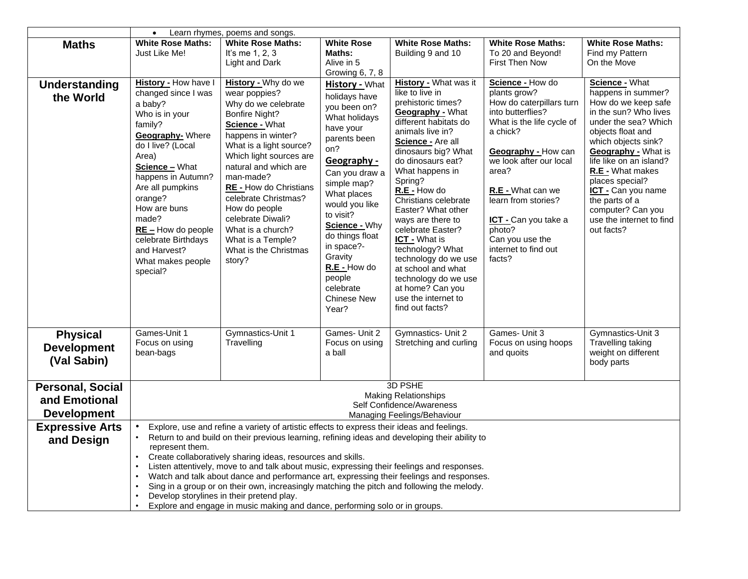|                         |                                      | Learn rhymes, poems and songs.                                                                 |                                  |                                            |                                                 |                                          |
|-------------------------|--------------------------------------|------------------------------------------------------------------------------------------------|----------------------------------|--------------------------------------------|-------------------------------------------------|------------------------------------------|
| <b>Maths</b>            | <b>White Rose Maths:</b>             | <b>White Rose Maths:</b>                                                                       | <b>White Rose</b>                | <b>White Rose Maths:</b>                   | <b>White Rose Maths:</b>                        | <b>White Rose Maths:</b>                 |
|                         | Just Like Me!                        | It's me 1, 2, 3<br>Light and Dark                                                              | Maths:<br>Alive in 5             | Building 9 and 10                          | To 20 and Beyond!<br><b>First Then Now</b>      | Find my Pattern<br>On the Move           |
|                         |                                      |                                                                                                | Growing 6, 7, 8                  |                                            |                                                 |                                          |
| <b>Understanding</b>    | History - How have I                 | History - Why do we                                                                            | History - What                   | History - What was it                      | Science - How do                                | <b>Science - What</b>                    |
| the World               | changed since I was                  | wear poppies?                                                                                  | holidays have                    | like to live in                            | plants grow?                                    | happens in summer?                       |
|                         | a baby?                              | Why do we celebrate                                                                            | you been on?                     | prehistoric times?                         | How do caterpillars turn                        | How do we keep safe                      |
|                         | Who is in your                       | Bonfire Night?                                                                                 | What holidays                    | Geography - What                           | into butterflies?                               | in the sun? Who lives                    |
|                         | family?                              | Science - What                                                                                 | have your                        | different habitats do                      | What is the life cycle of                       | under the sea? Which                     |
|                         | Geography- Where                     | happens in winter?                                                                             | parents been                     | animals live in?<br>Science - Are all      | a chick?                                        | objects float and<br>which objects sink? |
|                         | do I live? (Local                    | What is a light source?                                                                        | on?                              | dinosaurs big? What                        | Geography - How can                             | <b>Geography</b> - What is               |
|                         | Area)                                | Which light sources are                                                                        | Geography -                      | do dinosaurs eat?                          | we look after our local                         | life like on an island?                  |
|                         | Science - What<br>happens in Autumn? | natural and which are<br>man-made?                                                             | Can you draw a                   | What happens in                            | area?                                           | R.E - What makes                         |
|                         | Are all pumpkins                     | <b>RE</b> - How do Christians                                                                  | simple map?                      | Spring?                                    |                                                 | places special?                          |
|                         | orange?                              | celebrate Christmas?                                                                           | What places                      | R.E - How do<br>Christians celebrate       | <b>R.E</b> - What can we<br>learn from stories? | ICT - Can you name<br>the parts of a     |
|                         | How are buns                         | How do people                                                                                  | would you like                   | Easter? What other                         |                                                 | computer? Can you                        |
|                         | made?                                | celebrate Diwali?                                                                              | to visit?                        | ways are there to                          | ICT - Can you take a                            | use the internet to find                 |
|                         | $RE -$ How do people                 | What is a church?                                                                              | Science - Why<br>do things float | celebrate Easter?                          | photo?                                          | out facts?                               |
|                         | celebrate Birthdays                  | What is a Temple?                                                                              | in space?-                       | <b>ICT - What is</b>                       | Can you use the                                 |                                          |
|                         | and Harvest?                         | What is the Christmas                                                                          | Gravity                          | technology? What                           | internet to find out                            |                                          |
|                         | What makes people                    | story?                                                                                         | R.E - How do                     | technology do we use<br>at school and what | facts?                                          |                                          |
|                         | special?                             |                                                                                                | people                           | technology do we use                       |                                                 |                                          |
|                         |                                      |                                                                                                | celebrate                        | at home? Can you                           |                                                 |                                          |
|                         |                                      |                                                                                                | <b>Chinese New</b>               | use the internet to                        |                                                 |                                          |
|                         |                                      |                                                                                                | Year?                            | find out facts?                            |                                                 |                                          |
| <b>Physical</b>         | Games-Unit 1                         | Gymnastics-Unit 1                                                                              | Games- Unit 2                    | Gymnastics- Unit 2                         | Games- Unit 3                                   | Gymnastics-Unit 3                        |
| <b>Development</b>      | Focus on using                       | Travelling                                                                                     | Focus on using                   | Stretching and curling                     | Focus on using hoops                            | Travelling taking                        |
|                         | bean-bags                            |                                                                                                | a ball                           |                                            | and quoits                                      | weight on different                      |
| (Val Sabin)             |                                      |                                                                                                |                                  |                                            |                                                 | body parts                               |
| <b>Personal, Social</b> |                                      |                                                                                                |                                  | 3D PSHE                                    |                                                 |                                          |
| and Emotional           |                                      |                                                                                                |                                  | <b>Making Relationships</b>                |                                                 |                                          |
|                         |                                      |                                                                                                |                                  | Self Confidence/Awareness                  |                                                 |                                          |
| <b>Development</b>      |                                      |                                                                                                |                                  | Managing Feelings/Behaviour                |                                                 |                                          |
| <b>Expressive Arts</b>  |                                      | Explore, use and refine a variety of artistic effects to express their ideas and feelings.     |                                  |                                            |                                                 |                                          |
| and Design              | $\bullet$<br>represent them.         | Return to and build on their previous learning, refining ideas and developing their ability to |                                  |                                            |                                                 |                                          |
|                         | $\bullet$                            | Create collaboratively sharing ideas, resources and skills.                                    |                                  |                                            |                                                 |                                          |
|                         | $\bullet$                            | Listen attentively, move to and talk about music, expressing their feelings and responses.     |                                  |                                            |                                                 |                                          |
|                         | $\bullet$                            | Watch and talk about dance and performance art, expressing their feelings and responses.       |                                  |                                            |                                                 |                                          |
|                         |                                      | Sing in a group or on their own, increasingly matching the pitch and following the melody.     |                                  |                                            |                                                 |                                          |
|                         | $\bullet$                            | Develop storylines in their pretend play.                                                      |                                  |                                            |                                                 |                                          |
|                         |                                      | Explore and engage in music making and dance, performing solo or in groups.                    |                                  |                                            |                                                 |                                          |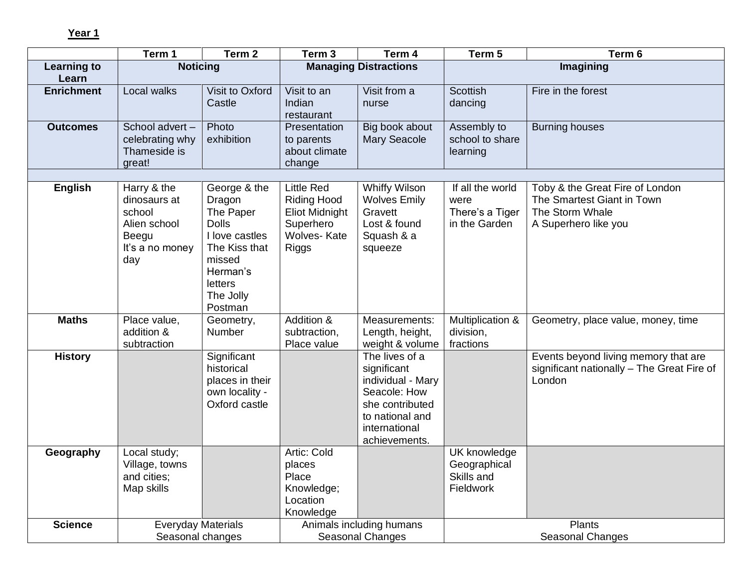**Year 1** 

|                             | Term 1                                                                                   | Term <sub>2</sub>                                                                                                                               | Term <sub>3</sub>                                                                                            | Term 4                                                                                                                                     | Term 5                                                       | Term 6                                                                                                   |
|-----------------------------|------------------------------------------------------------------------------------------|-------------------------------------------------------------------------------------------------------------------------------------------------|--------------------------------------------------------------------------------------------------------------|--------------------------------------------------------------------------------------------------------------------------------------------|--------------------------------------------------------------|----------------------------------------------------------------------------------------------------------|
| <b>Learning to</b><br>Learn | <b>Noticing</b>                                                                          |                                                                                                                                                 |                                                                                                              | <b>Managing Distractions</b>                                                                                                               |                                                              | Imagining                                                                                                |
| <b>Enrichment</b>           | Local walks                                                                              | Visit to Oxford<br>Castle                                                                                                                       | Visit to an<br>Indian<br>restaurant                                                                          | Visit from a<br>nurse                                                                                                                      | <b>Scottish</b><br>dancing                                   | Fire in the forest                                                                                       |
| <b>Outcomes</b>             | School advert-<br>celebrating why<br>Thameside is<br>great!                              | Photo<br>exhibition                                                                                                                             | Presentation<br>to parents<br>about climate<br>change                                                        | Big book about<br><b>Mary Seacole</b>                                                                                                      | Assembly to<br>school to share<br>learning                   | <b>Burning houses</b>                                                                                    |
|                             |                                                                                          |                                                                                                                                                 |                                                                                                              |                                                                                                                                            |                                                              |                                                                                                          |
| <b>English</b>              | Harry & the<br>dinosaurs at<br>school<br>Alien school<br>Beegu<br>It's a no money<br>day | George & the<br>Dragon<br>The Paper<br><b>Dolls</b><br>I love castles<br>The Kiss that<br>missed<br>Herman's<br>letters<br>The Jolly<br>Postman | <b>Little Red</b><br><b>Riding Hood</b><br>Eliot Midnight<br>Superhero<br><b>Wolves-Kate</b><br><b>Riggs</b> | <b>Whiffy Wilson</b><br><b>Wolves Emily</b><br>Gravett<br>Lost & found<br>Squash & a<br>squeeze                                            | If all the world<br>were<br>There's a Tiger<br>in the Garden | Toby & the Great Fire of London<br>The Smartest Giant in Town<br>The Storm Whale<br>A Superhero like you |
| <b>Maths</b>                | Place value,<br>addition &<br>subtraction                                                | Geometry,<br>Number                                                                                                                             | Addition &<br>subtraction,<br>Place value                                                                    | Measurements:<br>Length, height,<br>weight & volume                                                                                        | Multiplication &<br>division,<br>fractions                   | Geometry, place value, money, time                                                                       |
| <b>History</b>              |                                                                                          | Significant<br>historical<br>places in their<br>own locality -<br>Oxford castle                                                                 |                                                                                                              | The lives of a<br>significant<br>individual - Mary<br>Seacole: How<br>she contributed<br>to national and<br>international<br>achievements. |                                                              | Events beyond living memory that are<br>significant nationally - The Great Fire of<br>London             |
| Geography                   | Local study;<br>Village, towns<br>and cities;<br>Map skills                              |                                                                                                                                                 | Artic: Cold<br>places<br>Place<br>Knowledge;<br>Location<br>Knowledge                                        |                                                                                                                                            | UK knowledge<br>Geographical<br>Skills and<br>Fieldwork      |                                                                                                          |
| <b>Science</b>              | <b>Everyday Materials</b><br>Seasonal changes                                            |                                                                                                                                                 |                                                                                                              | Animals including humans<br>Seasonal Changes                                                                                               |                                                              | <b>Plants</b><br>Seasonal Changes                                                                        |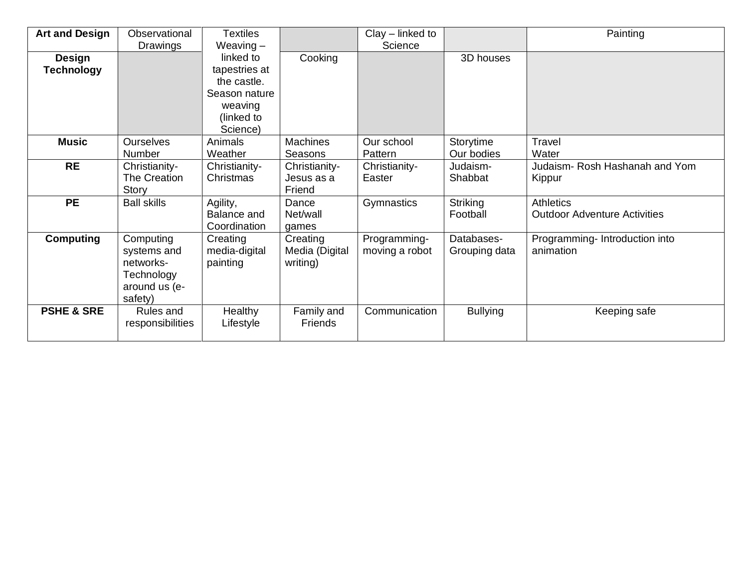| <b>Art and Design</b> | Observational      | <b>Textiles</b> |                 | $Clay$ – linked to |                 | Painting                            |
|-----------------------|--------------------|-----------------|-----------------|--------------------|-----------------|-------------------------------------|
|                       | Drawings           | Weaving $-$     |                 | Science            |                 |                                     |
| <b>Design</b>         |                    | linked to       | Cooking         |                    | 3D houses       |                                     |
| <b>Technology</b>     |                    | tapestries at   |                 |                    |                 |                                     |
|                       |                    | the castle.     |                 |                    |                 |                                     |
|                       |                    | Season nature   |                 |                    |                 |                                     |
|                       |                    | weaving         |                 |                    |                 |                                     |
|                       |                    | (linked to      |                 |                    |                 |                                     |
|                       |                    | Science)        |                 |                    |                 |                                     |
| <b>Music</b>          | <b>Ourselves</b>   | Animals         | <b>Machines</b> | Our school         | Storytime       | <b>Travel</b>                       |
|                       | Number             | Weather         | Seasons         | Pattern            | Our bodies      | Water                               |
| <b>RE</b>             | Christianity-      | Christianity-   | Christianity-   | Christianity-      | Judaism-        | Judaism- Rosh Hashanah and Yom      |
|                       | The Creation       | Christmas       | Jesus as a      | Easter             | Shabbat         | Kippur                              |
|                       | Story              |                 | Friend          |                    |                 |                                     |
| <b>PE</b>             | <b>Ball skills</b> | Agility,        | Dance           | Gymnastics         | Striking        | <b>Athletics</b>                    |
|                       |                    | Balance and     | Net/wall        |                    | Football        | <b>Outdoor Adventure Activities</b> |
|                       |                    | Coordination    | games           |                    |                 |                                     |
| <b>Computing</b>      | Computing          | Creating        | Creating        | Programming-       | Databases-      | Programming- Introduction into      |
|                       | systems and        | media-digital   | Media (Digital  | moving a robot     | Grouping data   | animation                           |
|                       | networks-          | painting        | writing)        |                    |                 |                                     |
|                       | Technology         |                 |                 |                    |                 |                                     |
|                       | around us (e-      |                 |                 |                    |                 |                                     |
|                       | safety)            |                 |                 |                    |                 |                                     |
| <b>PSHE &amp; SRE</b> | Rules and          | <b>Healthy</b>  | Family and      | Communication      | <b>Bullying</b> | Keeping safe                        |
|                       | responsibilities   | Lifestyle       | <b>Friends</b>  |                    |                 |                                     |
|                       |                    |                 |                 |                    |                 |                                     |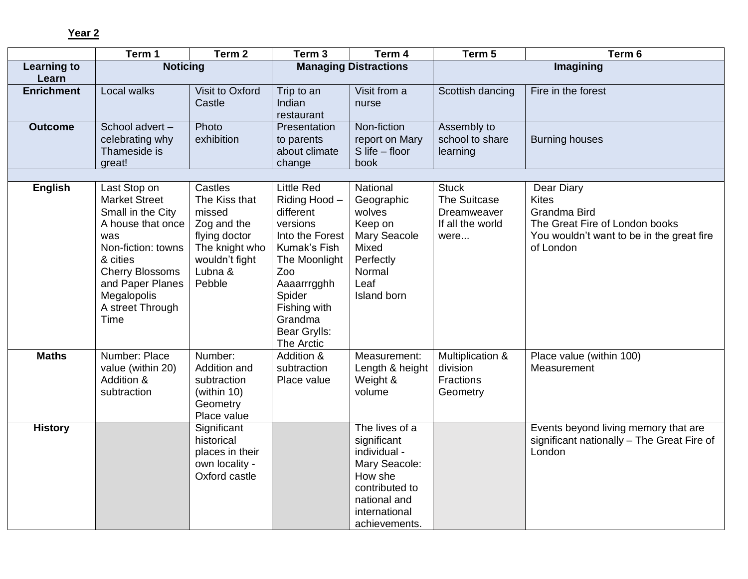**Year 2** 

|                    | Term 1                                                                                                                                                                                                           | Term 2                                                                                                                      | Term 3                                                                                                                                                                                                   | Term 4                                                                                                                                        | Term 5                                                                  | Term 6                                                                                                                                 |
|--------------------|------------------------------------------------------------------------------------------------------------------------------------------------------------------------------------------------------------------|-----------------------------------------------------------------------------------------------------------------------------|----------------------------------------------------------------------------------------------------------------------------------------------------------------------------------------------------------|-----------------------------------------------------------------------------------------------------------------------------------------------|-------------------------------------------------------------------------|----------------------------------------------------------------------------------------------------------------------------------------|
| <b>Learning to</b> | <b>Noticing</b>                                                                                                                                                                                                  |                                                                                                                             |                                                                                                                                                                                                          | <b>Managing Distractions</b>                                                                                                                  |                                                                         | Imagining                                                                                                                              |
| Learn              |                                                                                                                                                                                                                  |                                                                                                                             |                                                                                                                                                                                                          |                                                                                                                                               |                                                                         |                                                                                                                                        |
| <b>Enrichment</b>  | Local walks                                                                                                                                                                                                      | Visit to Oxford<br>Castle                                                                                                   | Trip to an<br>Indian<br>restaurant                                                                                                                                                                       | Visit from a<br>nurse                                                                                                                         | Scottish dancing                                                        | Fire in the forest                                                                                                                     |
| <b>Outcome</b>     | School advert-<br>celebrating why<br>Thameside is<br>great!                                                                                                                                                      | Photo<br>exhibition                                                                                                         | Presentation<br>to parents<br>about climate<br>change                                                                                                                                                    | Non-fiction<br>report on Mary<br>$S$ life $-$ floor<br>book                                                                                   | Assembly to<br>school to share<br>learning                              | <b>Burning houses</b>                                                                                                                  |
|                    |                                                                                                                                                                                                                  |                                                                                                                             |                                                                                                                                                                                                          |                                                                                                                                               |                                                                         |                                                                                                                                        |
| <b>English</b>     | Last Stop on<br><b>Market Street</b><br>Small in the City<br>A house that once<br>was<br>Non-fiction: towns<br>& cities<br><b>Cherry Blossoms</b><br>and Paper Planes<br>Megalopolis<br>A street Through<br>Time | Castles<br>The Kiss that<br>missed<br>Zog and the<br>flying doctor<br>The knight who<br>wouldn't fight<br>Lubna &<br>Pebble | <b>Little Red</b><br>Riding Hood -<br>different<br>versions<br>Into the Forest<br>Kumak's Fish<br>The Moonlight<br>Zoo<br>Aaaarrrgghh<br>Spider<br>Fishing with<br>Grandma<br>Bear Grylls:<br>The Arctic | National<br>Geographic<br>wolves<br>Keep on<br><b>Mary Seacole</b><br>Mixed<br>Perfectly<br>Normal<br>Leaf<br>Island born                     | <b>Stuck</b><br>The Suitcase<br>Dreamweaver<br>If all the world<br>were | Dear Diary<br><b>Kites</b><br>Grandma Bird<br>The Great Fire of London books<br>You wouldn't want to be in the great fire<br>of London |
| <b>Maths</b>       | Number: Place<br>value (within 20)<br>Addition &<br>subtraction                                                                                                                                                  | Number:<br>Addition and<br>subtraction<br>(within 10)<br>Geometry<br>Place value                                            | Addition &<br>subtraction<br>Place value                                                                                                                                                                 | Measurement:<br>Length & height<br>Weight &<br>volume                                                                                         | Multiplication &<br>division<br><b>Fractions</b><br>Geometry            | Place value (within 100)<br>Measurement                                                                                                |
| <b>History</b>     |                                                                                                                                                                                                                  | Significant<br>historical<br>places in their<br>own locality -<br>Oxford castle                                             |                                                                                                                                                                                                          | The lives of a<br>significant<br>individual -<br>Mary Seacole:<br>How she<br>contributed to<br>national and<br>international<br>achievements. |                                                                         | Events beyond living memory that are<br>significant nationally - The Great Fire of<br>London                                           |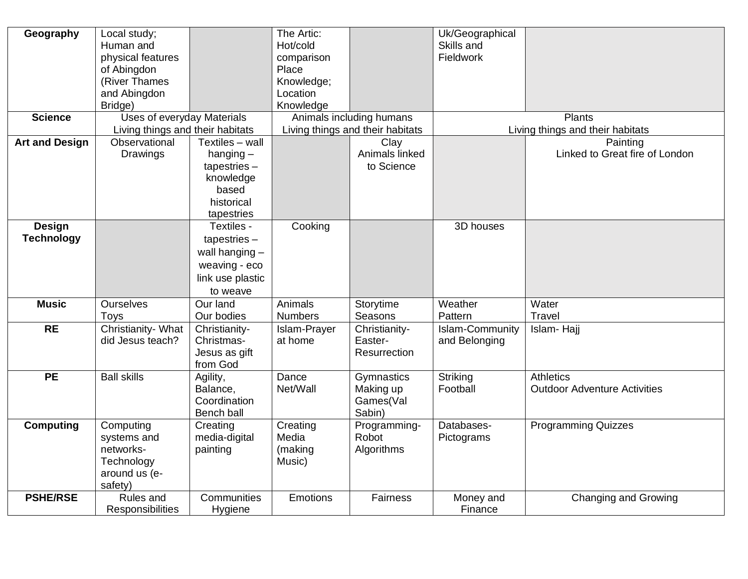| Geography             | Local study;                     |                  | The Artic:      |                                  | Uk/Geographical        |                                     |
|-----------------------|----------------------------------|------------------|-----------------|----------------------------------|------------------------|-------------------------------------|
|                       | Human and                        |                  | Hot/cold        |                                  | Skills and             |                                     |
|                       | physical features                |                  | comparison      |                                  | Fieldwork              |                                     |
|                       | of Abingdon                      |                  | Place           |                                  |                        |                                     |
|                       | (River Thames                    |                  | Knowledge;      |                                  |                        |                                     |
|                       | and Abingdon                     |                  | Location        |                                  |                        |                                     |
|                       | Bridge)                          |                  | Knowledge       |                                  |                        |                                     |
| <b>Science</b>        | Uses of everyday Materials       |                  |                 | Animals including humans         |                        | <b>Plants</b>                       |
|                       | Living things and their habitats |                  |                 | Living things and their habitats |                        | Living things and their habitats    |
| <b>Art and Design</b> | Observational                    | Textiles - wall  |                 | Clay                             |                        | Painting                            |
|                       | Drawings                         | hanging $-$      |                 | Animals linked                   |                        | Linked to Great fire of London      |
|                       |                                  | $t$ apestries –  |                 | to Science                       |                        |                                     |
|                       |                                  | knowledge        |                 |                                  |                        |                                     |
|                       |                                  | based            |                 |                                  |                        |                                     |
|                       |                                  | historical       |                 |                                  |                        |                                     |
|                       |                                  | tapestries       |                 |                                  |                        |                                     |
| <b>Design</b>         |                                  | Textiles -       | Cooking         |                                  | 3D houses              |                                     |
| <b>Technology</b>     |                                  | $t$ apestries –  |                 |                                  |                        |                                     |
|                       |                                  | wall hanging $-$ |                 |                                  |                        |                                     |
|                       |                                  |                  |                 |                                  |                        |                                     |
|                       |                                  | weaving - eco    |                 |                                  |                        |                                     |
|                       |                                  | link use plastic |                 |                                  |                        |                                     |
|                       |                                  | to weave         |                 |                                  |                        |                                     |
| <b>Music</b>          | <b>Ourselves</b>                 | Our land         | Animals         | Storytime                        | Weather                | Water                               |
|                       | <b>Toys</b>                      | Our bodies       | <b>Numbers</b>  | Seasons                          | Pattern                | Travel                              |
| <b>RE</b>             | Christianity- What               | Christianity-    | Islam-Prayer    | Christianity-                    | <b>Islam-Community</b> | Islam-Hajj                          |
|                       | did Jesus teach?                 | Christmas-       | at home         | Easter-                          | and Belonging          |                                     |
|                       |                                  | Jesus as gift    |                 | Resurrection                     |                        |                                     |
|                       |                                  | from God         |                 |                                  |                        |                                     |
| <b>PE</b>             | <b>Ball skills</b>               | Agility,         | Dance           | Gymnastics                       | Striking               | <b>Athletics</b>                    |
|                       |                                  | Balance,         | Net/Wall        | Making up                        | Football               | <b>Outdoor Adventure Activities</b> |
|                       |                                  | Coordination     |                 | Games(Val                        |                        |                                     |
|                       |                                  | Bench ball       |                 | Sabin)                           |                        |                                     |
| <b>Computing</b>      | Computing                        | Creating         | Creating        | Programming-                     | Databases-             | <b>Programming Quizzes</b>          |
|                       | systems and                      | media-digital    | Media           | Robot                            | Pictograms             |                                     |
|                       | networks-                        | painting         | (making         | Algorithms                       |                        |                                     |
|                       | Technology                       |                  | Music)          |                                  |                        |                                     |
|                       | around us (e-                    |                  |                 |                                  |                        |                                     |
|                       | safety)                          |                  |                 |                                  |                        |                                     |
| <b>PSHE/RSE</b>       | Rules and                        | Communities      | <b>Emotions</b> | Fairness                         | Money and              | Changing and Growing                |
|                       | Responsibilities                 | Hygiene          |                 |                                  | Finance                |                                     |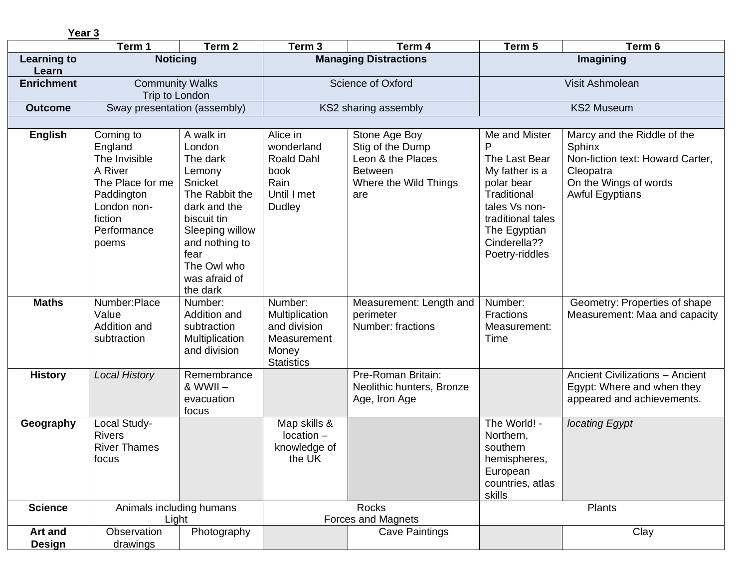| Year <sub>3</sub>        |                                                                                                                                      |                                                                                                                                                                                                |                                                                                        |                                                                                                          |                                                                                                                                                                            |                                                                                                                                                  |
|--------------------------|--------------------------------------------------------------------------------------------------------------------------------------|------------------------------------------------------------------------------------------------------------------------------------------------------------------------------------------------|----------------------------------------------------------------------------------------|----------------------------------------------------------------------------------------------------------|----------------------------------------------------------------------------------------------------------------------------------------------------------------------------|--------------------------------------------------------------------------------------------------------------------------------------------------|
|                          | Term 1                                                                                                                               | Term <sub>2</sub>                                                                                                                                                                              | Term <sub>3</sub>                                                                      | Term 4                                                                                                   | Term 5                                                                                                                                                                     | Term 6                                                                                                                                           |
| Learning to<br>Learn     | <b>Noticing</b>                                                                                                                      |                                                                                                                                                                                                |                                                                                        | <b>Managing Distractions</b>                                                                             | Imagining                                                                                                                                                                  |                                                                                                                                                  |
| <b>Enrichment</b>        | <b>Community Walks</b><br>Trip to London                                                                                             |                                                                                                                                                                                                | <b>Science of Oxford</b>                                                               |                                                                                                          | Visit Ashmolean                                                                                                                                                            |                                                                                                                                                  |
| <b>Outcome</b>           | Sway presentation (assembly)                                                                                                         |                                                                                                                                                                                                |                                                                                        | KS2 sharing assembly                                                                                     |                                                                                                                                                                            | <b>KS2 Museum</b>                                                                                                                                |
|                          |                                                                                                                                      |                                                                                                                                                                                                |                                                                                        |                                                                                                          |                                                                                                                                                                            |                                                                                                                                                  |
| <b>English</b>           | Coming to<br>England<br>The Invisible<br>A River<br>The Place for me<br>Paddington<br>London non-<br>fiction<br>Performance<br>poems | A walk in<br>London<br>The dark<br>Lemony<br>Snicket<br>The Rabbit the<br>dark and the<br>biscuit tin<br>Sleeping willow<br>and nothing to<br>fear<br>The Owl who<br>was afraid of<br>the dark | Alice in<br>wonderland<br><b>Roald Dahl</b><br>book<br>Rain<br>Until I met<br>Dudley   | Stone Age Boy<br>Stig of the Dump<br>Leon & the Places<br><b>Between</b><br>Where the Wild Things<br>are | Me and Mister<br>P<br>The Last Bear<br>My father is a<br>polar bear<br>Traditional<br>tales Vs non-<br>traditional tales<br>The Egyptian<br>Cinderella??<br>Poetry-riddles | Marcy and the Riddle of the<br><b>Sphinx</b><br>Non-fiction text: Howard Carter,<br>Cleopatra<br>On the Wings of words<br><b>Awful Egyptians</b> |
| <b>Maths</b>             | Number:Place<br>Value<br>Addition and<br>subtraction                                                                                 | Number:<br>Addition and<br>subtraction<br>Multiplication<br>and division                                                                                                                       | Number:<br>Multiplication<br>and division<br>Measurement<br>Money<br><b>Statistics</b> | Measurement: Length and<br>perimeter<br>Number: fractions                                                | Number:<br><b>Fractions</b><br>Measurement:<br>Time                                                                                                                        | Geometry: Properties of shape<br>Measurement: Maa and capacity                                                                                   |
| <b>History</b>           | <b>Local History</b>                                                                                                                 | Remembrance<br>$&$ WWII $-$<br>evacuation<br>focus                                                                                                                                             |                                                                                        | Pre-Roman Britain:<br>Neolithic hunters, Bronze<br>Age, Iron Age                                         |                                                                                                                                                                            | <b>Ancient Civilizations - Ancient</b><br>Egypt: Where and when they<br>appeared and achievements.                                               |
| Geography                | Local Study-<br><b>Rivers</b><br><b>River Thames</b><br>focus                                                                        |                                                                                                                                                                                                | Map skills &<br>$location -$<br>knowledge of<br>the UK                                 |                                                                                                          | The World! -<br>Northern,<br>southern<br>hemispheres,<br>European<br>countries, atlas<br>skills                                                                            | locating Egypt                                                                                                                                   |
| <b>Science</b>           | Animals including humans<br>Light                                                                                                    |                                                                                                                                                                                                |                                                                                        | Rocks<br><b>Forces and Magnets</b>                                                                       |                                                                                                                                                                            | Plants                                                                                                                                           |
| Art and<br><b>Design</b> | Observation<br>drawings                                                                                                              | Photography                                                                                                                                                                                    |                                                                                        | <b>Cave Paintings</b>                                                                                    |                                                                                                                                                                            | Clay                                                                                                                                             |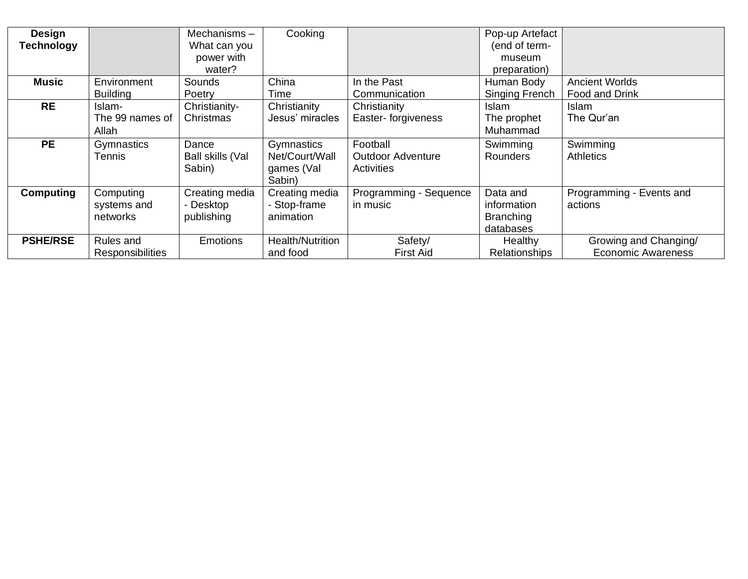| <b>Design</b><br>Technology |                                      | Mechanisms-<br>What can you               | Cooking                                              |                                                    | Pop-up Artefact<br>(end of term-                         |                                                    |
|-----------------------------|--------------------------------------|-------------------------------------------|------------------------------------------------------|----------------------------------------------------|----------------------------------------------------------|----------------------------------------------------|
|                             |                                      | power with<br>water?                      |                                                      |                                                    | museum<br>preparation)                                   |                                                    |
| <b>Music</b>                | Environment<br><b>Building</b>       | Sounds<br>Poetry                          | China<br>Time                                        | In the Past<br>Communication                       | Human Body<br><b>Singing French</b>                      | <b>Ancient Worlds</b><br>Food and Drink            |
| <b>RE</b>                   | Islam-<br>The 99 names of<br>Allah   | Christianity-<br>Christmas                | Christianity<br>Jesus' miracles                      | Christianity<br>Easter- forgiveness                | <b>Islam</b><br>The prophet<br>Muhammad                  | <b>Islam</b><br>The Qur'an                         |
| <b>PE</b>                   | Gymnastics<br>Tennis                 | Dance<br>Ball skills (Val<br>Sabin)       | Gymnastics<br>Net/Court/Wall<br>games (Val<br>Sabin) | Football<br><b>Outdoor Adventure</b><br>Activities | Swimming<br><b>Rounders</b>                              | Swimming<br><b>Athletics</b>                       |
| <b>Computing</b>            | Computing<br>systems and<br>networks | Creating media<br>- Desktop<br>publishing | Creating media<br>- Stop-frame<br>animation          | Programming - Sequence<br>in music                 | Data and<br>information<br><b>Branching</b><br>databases | Programming - Events and<br>actions                |
| <b>PSHE/RSE</b>             | Rules and<br><b>Responsibilities</b> | <b>Emotions</b>                           | Health/Nutrition<br>and food                         | Safety/<br><b>First Aid</b>                        | Healthy<br><b>Relationships</b>                          | Growing and Changing/<br><b>Economic Awareness</b> |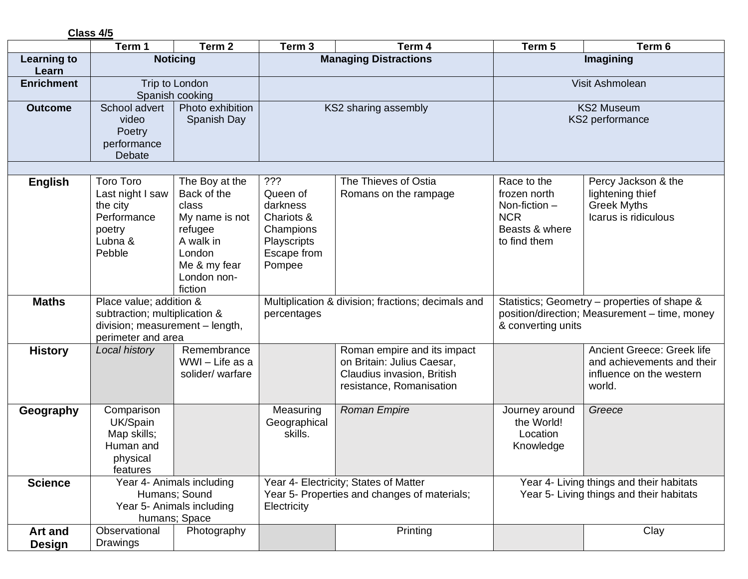**Class 4/5** 

|                                 | Term 1                                                                                                            | Term <sub>2</sub>                                                                                                                    | Term <sub>3</sub>                                                                              | Term 4                                                                                                              | Term 5                                                                                         | Term 6                                                                                         |
|---------------------------------|-------------------------------------------------------------------------------------------------------------------|--------------------------------------------------------------------------------------------------------------------------------------|------------------------------------------------------------------------------------------------|---------------------------------------------------------------------------------------------------------------------|------------------------------------------------------------------------------------------------|------------------------------------------------------------------------------------------------|
| <b>Learning to</b>              |                                                                                                                   | <b>Noticing</b>                                                                                                                      |                                                                                                | <b>Managing Distractions</b>                                                                                        |                                                                                                | Imagining                                                                                      |
| Learn<br><b>Enrichment</b>      |                                                                                                                   | Trip to London                                                                                                                       |                                                                                                |                                                                                                                     |                                                                                                | Visit Ashmolean                                                                                |
|                                 |                                                                                                                   | Spanish cooking                                                                                                                      |                                                                                                |                                                                                                                     |                                                                                                |                                                                                                |
| <b>Outcome</b>                  | School advert<br>video<br>Poetry<br>performance<br>Debate                                                         | Photo exhibition<br>Spanish Day                                                                                                      | KS2 sharing assembly                                                                           |                                                                                                                     | <b>KS2 Museum</b><br>KS2 performance                                                           |                                                                                                |
|                                 |                                                                                                                   |                                                                                                                                      |                                                                                                |                                                                                                                     |                                                                                                |                                                                                                |
| <b>English</b>                  | <b>Toro Toro</b><br>Last night I saw<br>the city<br>Performance<br>poetry<br>Lubna &<br>Pebble                    | The Boy at the<br>Back of the<br>class<br>My name is not<br>refugee<br>A walk in<br>London<br>Me & my fear<br>London non-<br>fiction | ???<br>Queen of<br>darkness<br>Chariots &<br>Champions<br>Playscripts<br>Escape from<br>Pompee | The Thieves of Ostia<br>Romans on the rampage                                                                       | Race to the<br>frozen north<br>Non-fiction $-$<br><b>NCR</b><br>Beasts & where<br>to find them | Percy Jackson & the<br>lightening thief<br><b>Greek Myths</b><br>Icarus is ridiculous          |
| <b>Maths</b>                    | Place value; addition &<br>subtraction; multiplication &<br>division; measurement - length,<br>perimeter and area |                                                                                                                                      | percentages                                                                                    | Multiplication & division; fractions; decimals and                                                                  | & converting units                                                                             | Statistics; Geometry – properties of shape &<br>position/direction; Measurement - time, money  |
| <b>History</b>                  | Local history                                                                                                     | Remembrance<br>WWI - Life as a<br>solider/warfare                                                                                    |                                                                                                | Roman empire and its impact<br>on Britain: Julius Caesar,<br>Claudius invasion, British<br>resistance, Romanisation |                                                                                                | Ancient Greece: Greek life<br>and achievements and their<br>influence on the western<br>world. |
| Geography                       | Comparison<br>UK/Spain<br>Map skills;<br>Human and<br>physical<br>features                                        |                                                                                                                                      | Measuring<br>Geographical<br>skills.                                                           | <b>Roman Empire</b>                                                                                                 | Journey around<br>the World!<br>Location<br>Knowledge                                          | Greece                                                                                         |
| <b>Science</b>                  |                                                                                                                   | Year 4- Animals including<br>Humans; Sound<br>Year 5- Animals including<br>humans; Space                                             | Electricity                                                                                    | Year 4- Electricity; States of Matter<br>Year 5- Properties and changes of materials;                               | Year 4- Living things and their habitats<br>Year 5- Living things and their habitats           |                                                                                                |
| <b>Art and</b><br><b>Design</b> | Observational<br>Drawings                                                                                         | Photography                                                                                                                          |                                                                                                | Printing                                                                                                            |                                                                                                | Clay                                                                                           |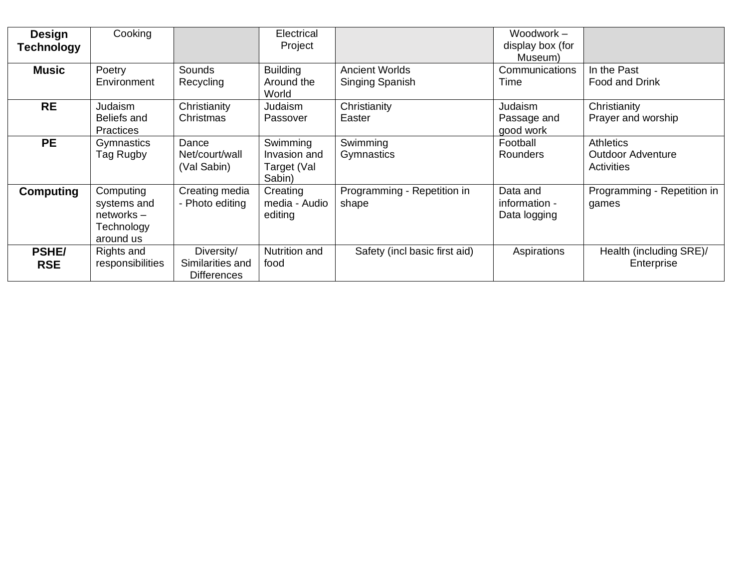| <b>Design</b><br><b>Technology</b> | Cooking                                                             |                                                      | Electrical<br>Project                             |                                          | Woodwork -<br>display box (for<br>Museum) |                                                            |
|------------------------------------|---------------------------------------------------------------------|------------------------------------------------------|---------------------------------------------------|------------------------------------------|-------------------------------------------|------------------------------------------------------------|
| <b>Music</b>                       | Poetry<br>Environment                                               | Sounds<br>Recycling                                  | <b>Building</b><br>Around the<br>World            | <b>Ancient Worlds</b><br>Singing Spanish | Communications<br>Time                    | In the Past<br><b>Food and Drink</b>                       |
| <b>RE</b>                          | Judaism<br>Beliefs and<br><b>Practices</b>                          | Christianity<br>Christmas                            | Judaism<br>Passover                               | Christianity<br>Easter                   | Judaism<br>Passage and<br>good work       | Christianity<br>Prayer and worship                         |
| <b>PE</b>                          | Gymnastics<br>Tag Rugby                                             | Dance<br>Net/court/wall<br>(Val Sabin)               | Swimming<br>Invasion and<br>Target (Val<br>Sabin) | Swimming<br>Gymnastics                   | Football<br><b>Rounders</b>               | <b>Athletics</b><br><b>Outdoor Adventure</b><br>Activities |
| <b>Computing</b>                   | Computing<br>systems and<br>$networks -$<br>Technology<br>around us | Creating media<br>- Photo editing                    | Creating<br>media - Audio<br>editing              | Programming - Repetition in<br>shape     | Data and<br>information -<br>Data logging | Programming - Repetition in<br>games                       |
| <b>PSHE/</b><br><b>RSE</b>         | Rights and<br>responsibilities                                      | Diversity/<br>Similarities and<br><b>Differences</b> | <b>Nutrition and</b><br>food                      | Safety (incl basic first aid)            | Aspirations                               | Health (including SRE)/<br>Enterprise                      |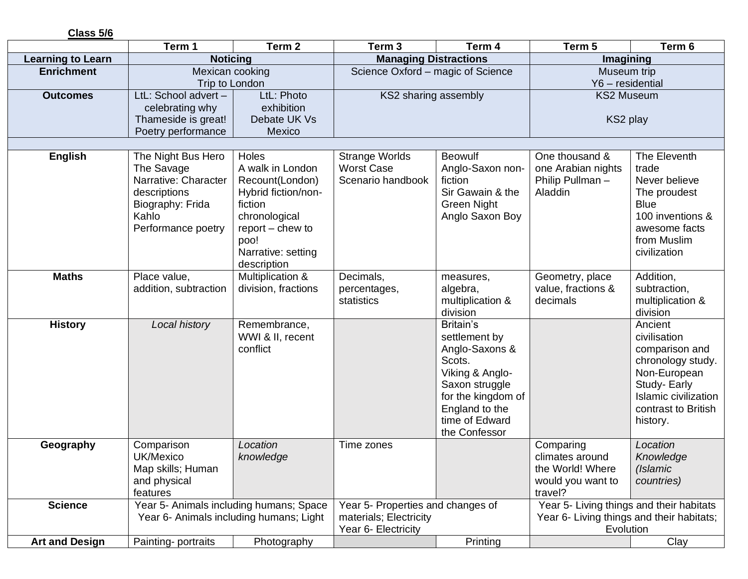| Class 5/6                |                                                                                                                             |                                                                                                                                                                    |                                                                                    |                                                                                                                                                                        |                                                                                                    |                                                                                                                                                                  |  |
|--------------------------|-----------------------------------------------------------------------------------------------------------------------------|--------------------------------------------------------------------------------------------------------------------------------------------------------------------|------------------------------------------------------------------------------------|------------------------------------------------------------------------------------------------------------------------------------------------------------------------|----------------------------------------------------------------------------------------------------|------------------------------------------------------------------------------------------------------------------------------------------------------------------|--|
|                          | Term 1                                                                                                                      | Term 2                                                                                                                                                             | Term <sub>3</sub>                                                                  | Term 4                                                                                                                                                                 | Term 5                                                                                             | Term 6                                                                                                                                                           |  |
| <b>Learning to Learn</b> |                                                                                                                             | <b>Noticing</b>                                                                                                                                                    |                                                                                    | <b>Managing Distractions</b>                                                                                                                                           |                                                                                                    | Imagining                                                                                                                                                        |  |
| <b>Enrichment</b>        | Mexican cooking<br>Trip to London                                                                                           |                                                                                                                                                                    | Science Oxford - magic of Science                                                  |                                                                                                                                                                        | Museum trip<br>Y6 - residential                                                                    |                                                                                                                                                                  |  |
| <b>Outcomes</b>          | LtL: School advert -<br>celebrating why<br>Thameside is great!<br>Poetry performance                                        | LtL: Photo<br>exhibition<br>Debate UK Vs<br>Mexico                                                                                                                 | KS2 sharing assembly                                                               |                                                                                                                                                                        | <b>KS2 Museum</b><br>KS2 play                                                                      |                                                                                                                                                                  |  |
|                          |                                                                                                                             |                                                                                                                                                                    |                                                                                    |                                                                                                                                                                        |                                                                                                    |                                                                                                                                                                  |  |
| <b>English</b>           | The Night Bus Hero<br>The Savage<br>Narrative: Character<br>descriptions<br>Biography: Frida<br>Kahlo<br>Performance poetry | Holes<br>A walk in London<br>Recount(London)<br>Hybrid fiction/non-<br>fiction<br>chronological<br>$report -$ chew to<br>poo!<br>Narrative: setting<br>description | <b>Strange Worlds</b><br><b>Worst Case</b><br>Scenario handbook                    | <b>Beowulf</b><br>Anglo-Saxon non-<br>fiction<br>Sir Gawain & the<br><b>Green Night</b><br>Anglo Saxon Boy                                                             | One thousand &<br>one Arabian nights<br>Philip Pullman-<br>Aladdin                                 | The Eleventh<br>trade<br>Never believe<br>The proudest<br><b>Blue</b><br>100 inventions &<br>awesome facts<br>from Muslim<br>civilization                        |  |
| <b>Maths</b>             | Place value,<br>addition, subtraction                                                                                       | Multiplication &<br>division, fractions                                                                                                                            | Decimals,<br>percentages,<br>statistics                                            | measures,<br>algebra,<br>multiplication &<br>division                                                                                                                  | Geometry, place<br>value, fractions &<br>decimals                                                  | Addition,<br>subtraction,<br>multiplication &<br>division                                                                                                        |  |
| <b>History</b>           | Local history                                                                                                               | Remembrance,<br>WWI & II, recent<br>conflict                                                                                                                       |                                                                                    | Britain's<br>settlement by<br>Anglo-Saxons &<br>Scots.<br>Viking & Anglo-<br>Saxon struggle<br>for the kingdom of<br>England to the<br>time of Edward<br>the Confessor |                                                                                                    | Ancient<br>civilisation<br>comparison and<br>chronology study.<br>Non-European<br>Study- Early<br><b>Islamic civilization</b><br>contrast to British<br>history. |  |
| Geography                | Comparison<br>UK/Mexico<br>Map skills; Human<br>and physical<br>features                                                    | Location<br>knowledge                                                                                                                                              | Time zones                                                                         |                                                                                                                                                                        | Comparing<br>climates around<br>the World! Where<br>would you want to<br>travel?                   | Location<br>Knowledge<br>(Islamic<br>countries)                                                                                                                  |  |
| <b>Science</b>           | Year 5- Animals including humans; Space<br>Year 6- Animals including humans; Light                                          |                                                                                                                                                                    | Year 5- Properties and changes of<br>materials; Electricity<br>Year 6- Electricity |                                                                                                                                                                        | Year 5- Living things and their habitats<br>Year 6- Living things and their habitats;<br>Evolution |                                                                                                                                                                  |  |
| <b>Art and Design</b>    | Painting-portraits                                                                                                          | Photography                                                                                                                                                        |                                                                                    | Printing                                                                                                                                                               |                                                                                                    | Clay                                                                                                                                                             |  |